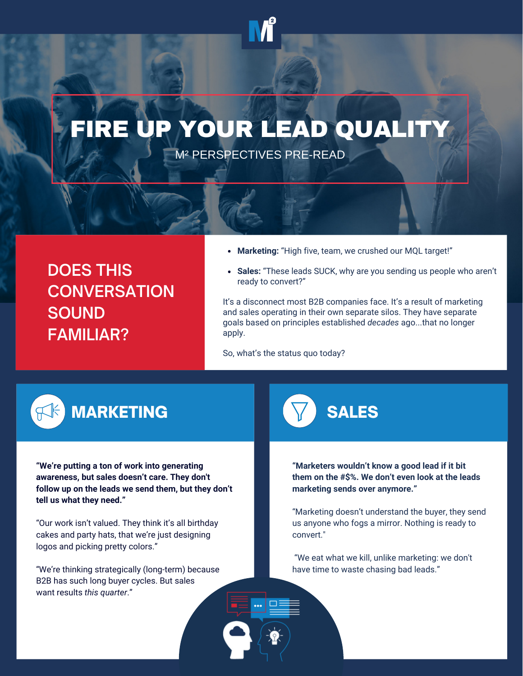# RE UP YOUR LEAD QUALIT

M² PERSPECTIVES PRE-READ

**DOES THIS CONVERSATION SOUND FAMILIAR?**

- **Marketing:** "High five, team, we crushed our MQL target!"
- **Sales:** "These leads SUCK, why are you sending us people who aren't ready to convert?"

It's a disconnect most B2B companies face. It's a result of marketing and sales operating in their own separate silos. They have separate goals based on principles established *decades* ago...that no longer apply.

So, what's the status quo today?



# MARKETING **NARKETING** SALES

**"We're putting a ton of work into generating awareness, but sales doesn't care. They don't follow up on the leads we send them, but they don't tell us what they need."**

"Our work isn't valued. They think it's all birthday cakes and party hats, that we're just designing logos and picking pretty colors."

"We're thinking strategically (long-term) because B2B has such long buyer cycles. But sales want results *this quarter*."



**"Marketers wouldn't know a good lead if it bit them on the #\$%. We don't even look at the leads marketing sends over anymore."**

"Marketing doesn't understand the buyer, they send us anyone who fogs a mirror. Nothing is ready to convert."

"We eat what we kill, unlike marketing: we don't have time to waste chasing bad leads."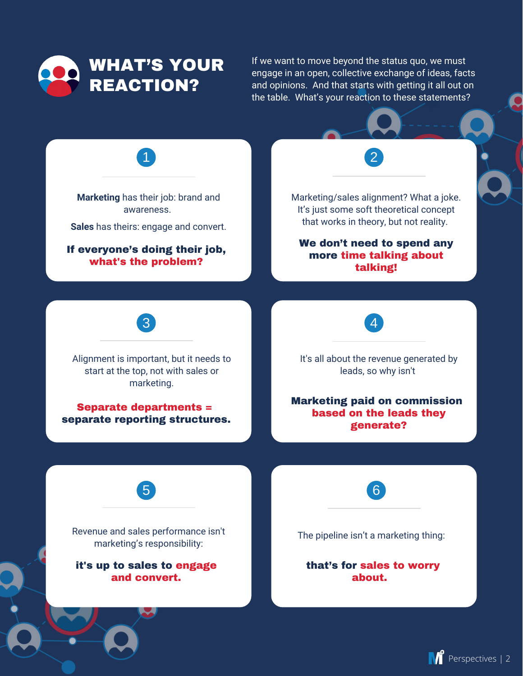

If we want to move beyond the status quo, we must engage in an open, collective exchange of ideas, facts and opinions. And that starts with getting it all out on the table. What's your reaction to these statements?

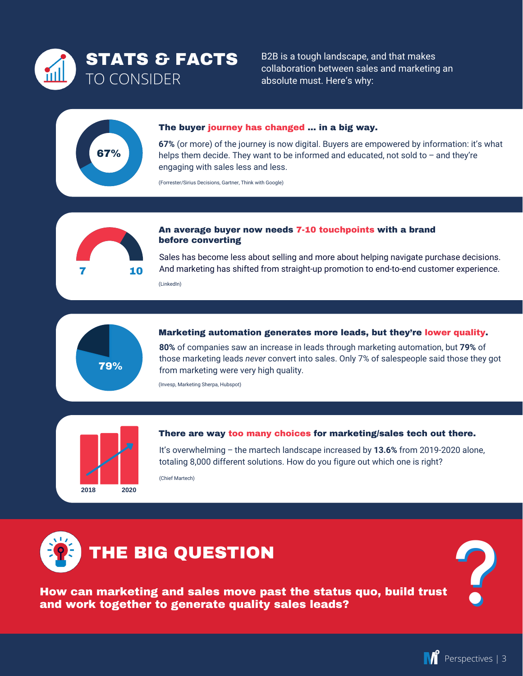

B2B is a tough landscape, and that makes collaboration between sales and marketing an absolute must. Here's why:

# 67%

## The buyer journey has changed ... in a big way.

**67%** (or more) of the journey is now digital. Buyers are empowered by information: it's what helps them decide. They want to be informed and educated, not sold to  $-$  and they're engaging with sales less and less.

(Forrester/Sirius Decisions, Gartner, Think with Google)



# An average buyer now needs 7-10 touchpoints with a brand before converting

Sales has become less about selling and more about helping navigate purchase decisions. And marketing has shifted from straight-up promotion to end-to-end customer experience. (LinkedIn)



# Marketing automation generates more leads, but they're lower quality.

**80%** of companies saw an increase in leads through marketing automation, but **79%** of those marketing leads *never* convert into sales. Only 7% of salespeople said those they got from marketing were very high quality.

(Invesp, Marketing Sherpa, Hubspot)



## There are way too many choices for marketing/sales tech out there.

It's overwhelming ‒ the martech landscape increased by **13.6%** from 2019-2020 alone, totaling 8,000 different solutions. How do you figure out which one is right?

(Chief Martech)



How can marketing and sales move past the status quo, build trust and work together to generate quality sales leads?



**?**